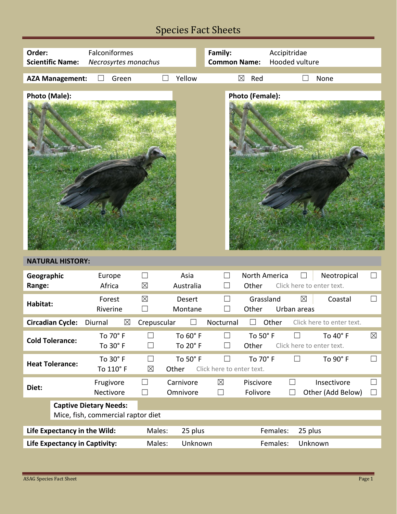## Species Fact Sheets

| Order:               | <b>Scientific Name:</b>                                              | Falconiformes<br>Necrosyrtes monachus |                       |                       | Family:<br><b>Common Name:</b>      |                          | Accipitridae<br>Hooded vulture      |                    |                                  |                  |
|----------------------|----------------------------------------------------------------------|---------------------------------------|-----------------------|-----------------------|-------------------------------------|--------------------------|-------------------------------------|--------------------|----------------------------------|------------------|
|                      | <b>AZA Management:</b>                                               | Green<br>$\vert \ \ \vert$            |                       | Yellow                | $\boxtimes$                         | Red                      |                                     |                    | None                             |                  |
| Photo (Male):        |                                                                      |                                       |                       |                       |                                     | <b>Photo (Female):</b>   |                                     |                    |                                  |                  |
|                      | <b>NATURAL HISTORY:</b>                                              |                                       |                       |                       |                                     |                          |                                     |                    |                                  |                  |
| Geographic<br>Range: |                                                                      | Europe<br>Africa                      | $\Box$<br>$\boxtimes$ | Asia<br>Australia     | $\Box$                              | North America<br>Other   | Click here to enter text.           | $\vert \ \ \vert$  | Neotropical                      | $\Box$           |
| Habitat:             |                                                                      | Forest<br>Riverine                    | $\boxtimes$<br>$\Box$ | Desert<br>Montane     | П                                   | Grassland<br>Other       | Urban areas                         | $\boxtimes$        | Coastal                          | $\perp$          |
|                      | <b>Circadian Cycle:</b>                                              | Diurnal<br>$\boxtimes$                | Crepuscular           |                       | Nocturnal                           |                          | Other                               |                    | Click here to enter text.        |                  |
|                      | <b>Cold Tolerance:</b>                                               | To 70° F<br>To 30° F                  | $\Box$                | To 60° F<br>To 20° F  | $\Box$<br>П                         | To $50^\circ$ F<br>Other | $\Box$<br>Click here to enter text. |                    | To 40° F                         | $\boxtimes$      |
|                      | <b>Heat Tolerance:</b>                                               | To 30° F<br>To 110° F                 | $\Box$<br>$\boxtimes$ | To 50° F<br>Other     | $\Box$<br>Click here to enter text. | To 70° F                 | $\Box$                              |                    | To 90° F                         | $\Box$           |
| Diet:                |                                                                      | Frugivore<br>Nectivore                | $\Box$<br>$\Box$      | Carnivore<br>Omnivore | $\boxtimes$<br>$\Box$               | Piscivore<br>Folivore    | $\Box$<br>$\Box$                    |                    | Insectivore<br>Other (Add Below) | $\Box$<br>$\Box$ |
|                      |                                                                      | <b>Captive Dietary Needs:</b>         |                       |                       |                                     |                          |                                     |                    |                                  |                  |
|                      |                                                                      | Mice, fish, commercial raptor diet    |                       |                       |                                     |                          |                                     |                    |                                  |                  |
|                      | Life Expectancy in the Wild:<br><b>Life Expectancy in Captivity:</b> |                                       | Males:<br>Males:      | 25 plus<br>Unknown    |                                     |                          | Females:<br>Females:                | 25 plus<br>Unknown |                                  |                  |

t.